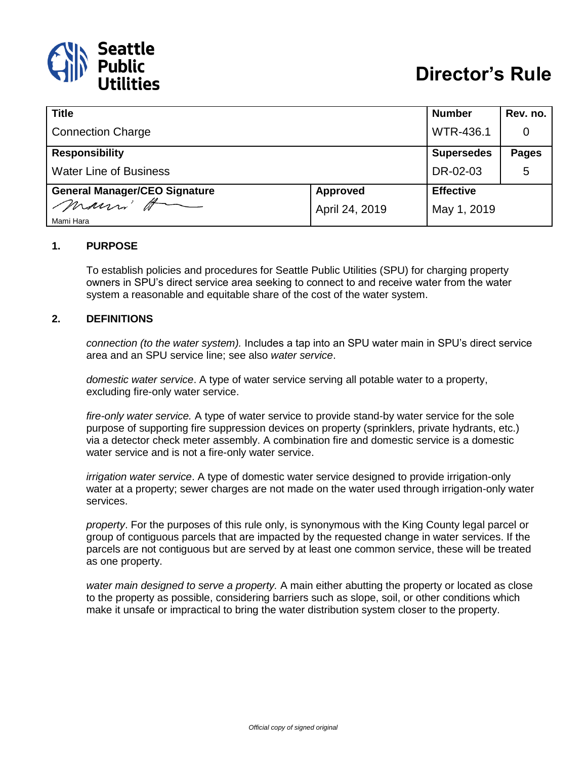

| <b>Title</b>                         |                 | <b>Number</b>     | Rev. no.     |
|--------------------------------------|-----------------|-------------------|--------------|
| <b>Connection Charge</b>             |                 | <b>WTR-436.1</b>  | 0            |
| <b>Responsibility</b>                |                 | <b>Supersedes</b> | <b>Pages</b> |
| <b>Water Line of Business</b>        |                 | DR-02-03          | 5            |
| <b>General Manager/CEO Signature</b> | <b>Approved</b> | <b>Effective</b>  |              |
| marri H<br>Mami Hara                 | April 24, 2019  | May 1, 2019       |              |

#### **1. PURPOSE**

To establish policies and procedures for Seattle Public Utilities (SPU) for charging property owners in SPU's direct service area seeking to connect to and receive water from the water system a reasonable and equitable share of the cost of the water system.

#### **2. DEFINITIONS**

*connection (to the water system).* Includes a tap into an SPU water main in SPU's direct service area and an SPU service line; see also *water service*.

*domestic water service*. A type of water service serving all potable water to a property, excluding fire-only water service.

*fire-only water service.* A type of water service to provide stand-by water service for the sole purpose of supporting fire suppression devices on property (sprinklers, private hydrants, etc.) via a detector check meter assembly. A combination fire and domestic service is a domestic water service and is not a fire-only water service.

*irrigation water service*. A type of domestic water service designed to provide irrigation-only water at a property; sewer charges are not made on the water used through irrigation-only water services.

*property*. For the purposes of this rule only, is synonymous with the King County legal parcel or group of contiguous parcels that are impacted by the requested change in water services. If the parcels are not contiguous but are served by at least one common service, these will be treated as one property.

*water main designed to serve a property.* A main either abutting the property or located as close to the property as possible, considering barriers such as slope, soil, or other conditions which make it unsafe or impractical to bring the water distribution system closer to the property.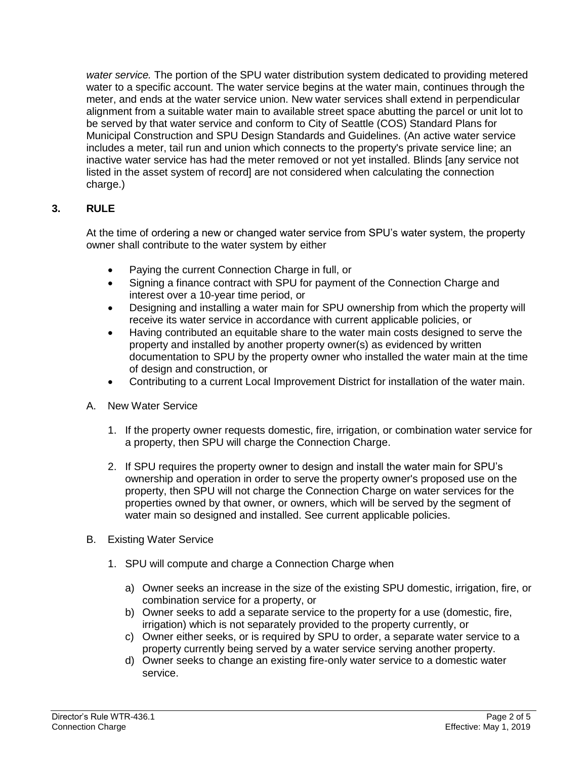*water service.* The portion of the SPU water distribution system dedicated to providing metered water to a specific account. The water service begins at the water main, continues through the meter, and ends at the water service union. New water services shall extend in perpendicular alignment from a suitable water main to available street space abutting the parcel or unit lot to be served by that water service and conform to City of Seattle (COS) Standard Plans for Municipal Construction and SPU Design Standards and Guidelines. (An active water service includes a meter, tail run and union which connects to the property's private service line; an inactive water service has had the meter removed or not yet installed. Blinds [any service not listed in the asset system of record] are not considered when calculating the connection charge.)

### **3. RULE**

At the time of ordering a new or changed water service from SPU's water system, the property owner shall contribute to the water system by either

- Paying the current Connection Charge in full, or
- Signing a finance contract with SPU for payment of the Connection Charge and interest over a 10-year time period, or
- Designing and installing a water main for SPU ownership from which the property will receive its water service in accordance with current applicable policies, or
- Having contributed an equitable share to the water main costs designed to serve the property and installed by another property owner(s) as evidenced by written documentation to SPU by the property owner who installed the water main at the time of design and construction, or
- Contributing to a current Local Improvement District for installation of the water main.
- A. New Water Service
	- 1. If the property owner requests domestic, fire, irrigation, or combination water service for a property, then SPU will charge the Connection Charge.
	- 2. If SPU requires the property owner to design and install the water main for SPU's ownership and operation in order to serve the property owner's proposed use on the property, then SPU will not charge the Connection Charge on water services for the properties owned by that owner, or owners, which will be served by the segment of water main so designed and installed. See current applicable policies.
- B. Existing Water Service
	- 1. SPU will compute and charge a Connection Charge when
		- a) Owner seeks an increase in the size of the existing SPU domestic, irrigation, fire, or combination service for a property, or
		- b) Owner seeks to add a separate service to the property for a use (domestic, fire, irrigation) which is not separately provided to the property currently, or
		- c) Owner either seeks, or is required by SPU to order, a separate water service to a property currently being served by a water service serving another property.
		- d) Owner seeks to change an existing fire-only water service to a domestic water service.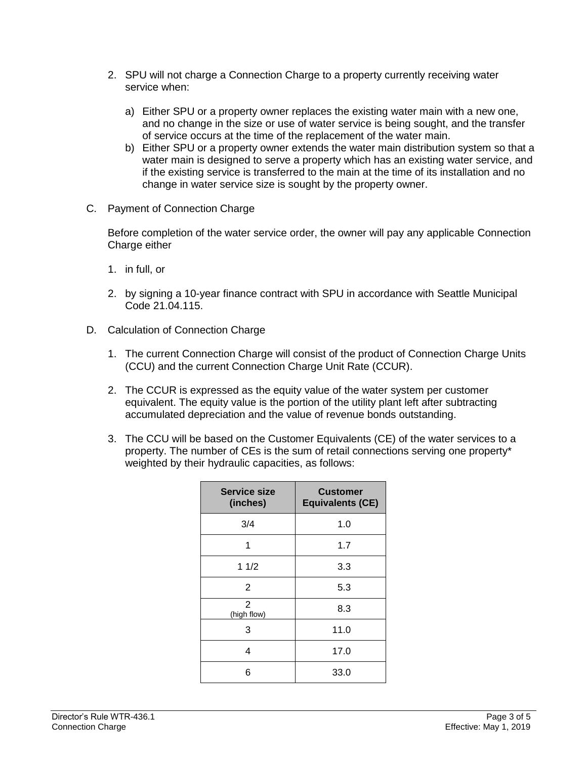- 2. SPU will not charge a Connection Charge to a property currently receiving water service when:
	- a) Either SPU or a property owner replaces the existing water main with a new one, and no change in the size or use of water service is being sought, and the transfer of service occurs at the time of the replacement of the water main.
	- b) Either SPU or a property owner extends the water main distribution system so that a water main is designed to serve a property which has an existing water service, and if the existing service is transferred to the main at the time of its installation and no change in water service size is sought by the property owner.
- C. Payment of Connection Charge

Before completion of the water service order, the owner will pay any applicable Connection Charge either

- 1. in full, or
- 2. by signing a 10-year finance contract with SPU in accordance with Seattle Municipal Code 21.04.115.
- D. Calculation of Connection Charge
	- 1. The current Connection Charge will consist of the product of Connection Charge Units (CCU) and the current Connection Charge Unit Rate (CCUR).
	- 2. The CCUR is expressed as the equity value of the water system per customer equivalent. The equity value is the portion of the utility plant left after subtracting accumulated depreciation and the value of revenue bonds outstanding.
	- 3. The CCU will be based on the Customer Equivalents (CE) of the water services to a property. The number of CEs is the sum of retail connections serving one property\* weighted by their hydraulic capacities, as follows:

| <b>Service size</b><br>(inches) | <b>Customer</b><br><b>Equivalents (CE)</b> |
|---------------------------------|--------------------------------------------|
| 3/4                             | 1.0                                        |
| 1                               | 1.7                                        |
| 11/2                            | 3.3                                        |
| 2                               | 5.3                                        |
| $\overline{2}$<br>(high flow)   | 8.3                                        |
| 3                               | 11.0                                       |
| 4                               | 17.0                                       |
| 6                               | 33.0                                       |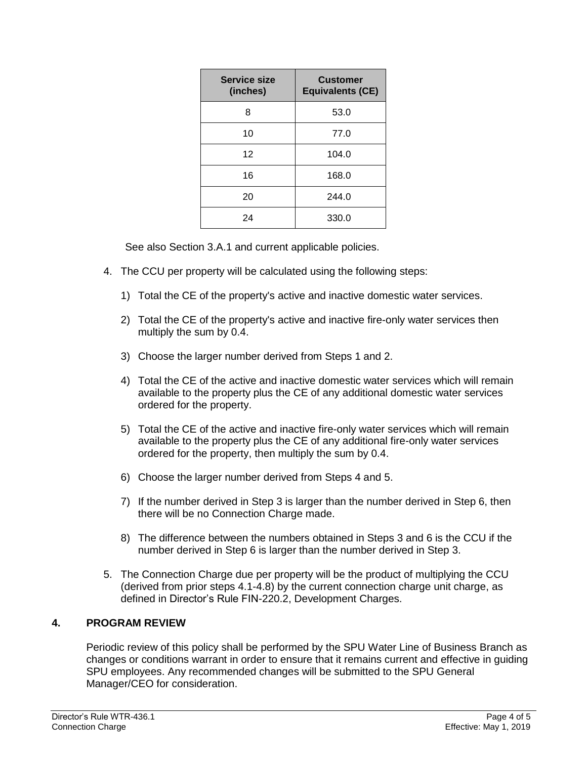| Service size<br>(inches) | <b>Customer</b><br><b>Equivalents (CE)</b> |  |
|--------------------------|--------------------------------------------|--|
| 8                        | 53.0                                       |  |
| 10                       | 77.0                                       |  |
| 12                       | 104.0                                      |  |
| 16                       | 168.0                                      |  |
| 20                       | 244.0                                      |  |
| 24                       | 330.0                                      |  |

See also Section 3.A.1 and current applicable policies.

- 4. The CCU per property will be calculated using the following steps:
	- 1) Total the CE of the property's active and inactive domestic water services.
	- 2) Total the CE of the property's active and inactive fire-only water services then multiply the sum by 0.4.
	- 3) Choose the larger number derived from Steps 1 and 2.
	- 4) Total the CE of the active and inactive domestic water services which will remain available to the property plus the CE of any additional domestic water services ordered for the property.
	- 5) Total the CE of the active and inactive fire-only water services which will remain available to the property plus the CE of any additional fire-only water services ordered for the property, then multiply the sum by 0.4.
	- 6) Choose the larger number derived from Steps 4 and 5.
	- 7) If the number derived in Step 3 is larger than the number derived in Step 6, then there will be no Connection Charge made.
	- 8) The difference between the numbers obtained in Steps 3 and 6 is the CCU if the number derived in Step 6 is larger than the number derived in Step 3.
- 5. The Connection Charge due per property will be the product of multiplying the CCU (derived from prior steps 4.1-4.8) by the current connection charge unit charge, as defined in Director's Rule FIN-220.2, Development Charges.

# **4. PROGRAM REVIEW**

Periodic review of this policy shall be performed by the SPU Water Line of Business Branch as changes or conditions warrant in order to ensure that it remains current and effective in guiding SPU employees. Any recommended changes will be submitted to the SPU General Manager/CEO for consideration.